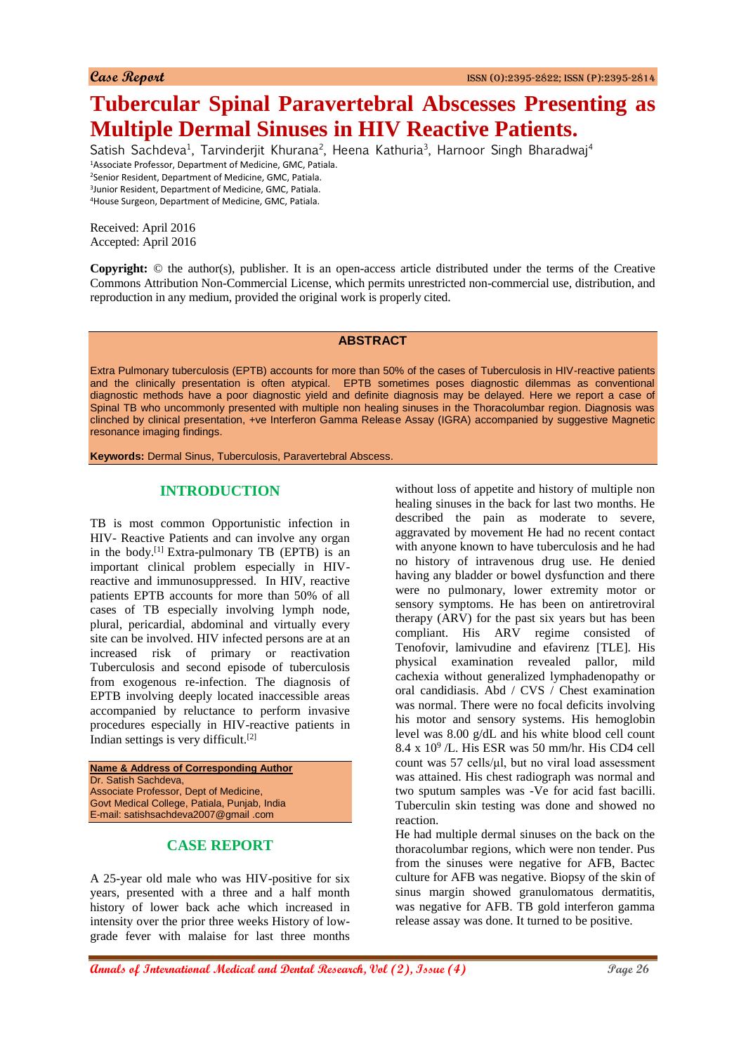# **Tubercular Spinal Paravertebral Abscesses Presenting as Multiple Dermal Sinuses in HIV Reactive Patients.**

Satish Sachdeva<sup>1</sup>, Tarvinderjit Khurana<sup>2</sup>, Heena Kathuria<sup>3</sup>, Harnoor Singh Bharadwaj<sup>4</sup> Associate Professor, Department of Medicine, GMC, Patiala. Senior Resident, Department of Medicine, GMC, Patiala. Junior Resident, Department of Medicine, GMC, Patiala. House Surgeon, Department of Medicine, GMC, Patiala.

Received: April 2016 Accepted: April 2016

**Copyright:** © the author(s), publisher. It is an open-access article distributed under the terms of the Creative Commons Attribution Non-Commercial License, which permits unrestricted non-commercial use, distribution, and reproduction in any medium, provided the original work is properly cited.

#### **ABSTRACT**

Extra Pulmonary tuberculosis (EPTB) accounts for more than 50% of the cases of Tuberculosis in HIV-reactive patients and the clinically presentation is often atypical. EPTB sometimes poses diagnostic dilemmas as conventional diagnostic methods have a poor diagnostic yield and definite diagnosis may be delayed. Here we report a case of Spinal TB who uncommonly presented with multiple non healing sinuses in the Thoracolumbar region. Diagnosis was clinched by clinical presentation, +ve Interferon Gamma Release Assay (IGRA) accompanied by suggestive Magnetic resonance imaging findings.

**Keywords:** Dermal Sinus, Tuberculosis, Paravertebral Abscess.

## **INTRODUCTION**

TB is most common Opportunistic infection in HIV- Reactive Patients and can involve any organ in the body.[1] Extra-pulmonary TB (EPTB) is an important clinical problem especially in HIVreactive and immunosuppressed. In HIV, reactive patients EPTB accounts for more than 50% of all cases of TB especially involving lymph node, plural, pericardial, abdominal and virtually every site can be involved. HIV infected persons are at an increased risk of primary or reactivation Tuberculosis and second episode of tuberculosis from exogenous re-infection. The diagnosis of EPTB involving deeply located inaccessible areas accompanied by reluctance to perform invasive procedures especially in HIV-reactive patients in Indian settings is very difficult.[2]

**Name & Address of Corresponding Author** Dr. Satish Sachdeva, Associate Professor, Dept of Medicine, Govt Medical College, Patiala, Punjab, India E-mail: satishsachdeva2007@gmail .com

## **CASE REPORT**

A 25-year old male who was HIV-positive for six years, presented with a three and a half month history of lower back ache which increased in intensity over the prior three weeks History of lowgrade fever with malaise for last three months without loss of appetite and history of multiple non healing sinuses in the back for last two months. He described the pain as moderate to severe, aggravated by movement He had no recent contact with anyone known to have tuberculosis and he had no history of intravenous drug use. He denied having any bladder or bowel dysfunction and there were no pulmonary, lower extremity motor or sensory symptoms. He has been on antiretroviral therapy (ARV) for the past six years but has been compliant. His ARV regime consisted of Tenofovir, lamivudine and efavirenz [TLE]. His physical examination revealed pallor, mild cachexia without generalized lymphadenopathy or oral candidiasis. Abd / CVS / Chest examination was normal. There were no focal deficits involving his motor and sensory systems. His hemoglobin level was 8.00 g/dL and his white blood cell count 8.4 x 10<sup>9</sup> /L. His ESR was 50 mm/hr. His CD4 cell count was 57 cells/μl, but no viral load assessment was attained. His chest radiograph was normal and two sputum samples was -Ve for acid fast bacilli. Tuberculin skin testing was done and showed no reaction.

He had multiple dermal sinuses on the back on the thoracolumbar regions, which were non tender. Pus from the sinuses were negative for AFB, Bactec culture for AFB was negative. Biopsy of the skin of sinus margin showed granulomatous dermatitis, was negative for AFB. TB gold interferon gamma release assay was done. It turned to be positive.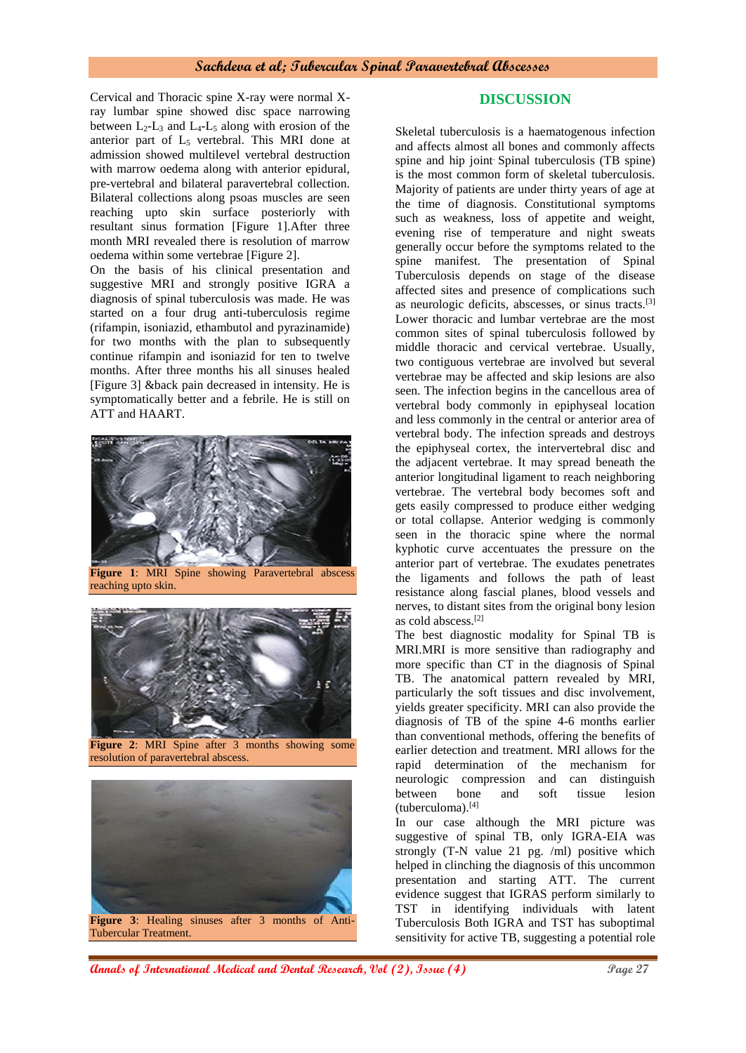### **Sachdeva et al; Tubercular Spinal Paravertebral Abscesses**

Cervical and Thoracic spine X-ray were normal Xray lumbar spine showed disc space narrowing between  $L_2$ - $L_3$  and  $L_4$ - $L_5$  along with erosion of the anterior part of  $L_5$  vertebral. This MRI done at admission showed multilevel vertebral destruction with marrow oedema along with anterior epidural, pre-vertebral and bilateral paravertebral collection. Bilateral collections along psoas muscles are seen reaching upto skin surface posteriorly with resultant sinus formation [Figure 1].After three month MRI revealed there is resolution of marrow oedema within some vertebrae [Figure 2].

On the basis of his clinical presentation and suggestive MRI and strongly positive IGRA a diagnosis of spinal tuberculosis was made. He was started on a four drug anti-tuberculosis regime (rifampin, isoniazid, ethambutol and pyrazinamide) for two months with the plan to subsequently continue rifampin and isoniazid for ten to twelve months. After three months his all sinuses healed [Figure 3] &back pain decreased in intensity. He is symptomatically better and a febrile. He is still on ATT and HAART.



**Figure 1**: MRI Spine showing Paravertebral abscess reaching upto skin.



**Figure 2**: MRI Spine after 3 months showing some resolution of paravertebral abscess.



Tubercular Treatment.

## **DISCUSSION**

Skeletal tuberculosis is a haematogenous infection and affects almost all bones and commonly affects spine and hip joint. Spinal tuberculosis (TB spine) is the most common form of skeletal tuberculosis. Majority of patients are under thirty years of age at the time of diagnosis. Constitutional symptoms such as weakness, loss of appetite and weight, evening rise of temperature and night sweats generally occur before the symptoms related to the spine manifest. The presentation of Spinal Tuberculosis depends on stage of the disease affected sites and presence of complications such as neurologic deficits, abscesses, or sinus tracts.[3] Lower thoracic and lumbar vertebrae are the most common sites of spinal tuberculosis followed by middle thoracic and cervical vertebrae. Usually, two contiguous vertebrae are involved but several vertebrae may be affected and skip lesions are also seen. The infection begins in the cancellous area of vertebral body commonly in epiphyseal location and less commonly in the central or anterior area of vertebral body. The infection spreads and destroys the epiphyseal cortex, the intervertebral disc and the adjacent vertebrae. It may spread beneath the anterior longitudinal ligament to reach neighboring vertebrae. The vertebral body becomes soft and gets easily compressed to produce either wedging or total collapse. Anterior wedging is commonly seen in the thoracic spine where the normal kyphotic curve accentuates the pressure on the anterior part of vertebrae. The exudates penetrates the ligaments and follows the path of least resistance along fascial planes, blood vessels and nerves, to distant sites from the original bony lesion as cold abscess.[2]

The best diagnostic modality for Spinal TB is MRI.MRI is more sensitive than radiography and more specific than CT in the diagnosis of Spinal TB. The anatomical pattern revealed by MRI, particularly the soft tissues and disc involvement, yields greater specificity. MRI can also provide the diagnosis of TB of the spine 4-6 months earlier than conventional methods, offering the benefits of earlier detection and treatment. MRI allows for the rapid determination of the mechanism for neurologic compression and can distinguish between bone and soft tissue lesion (tuberculoma).[4]

In our case although the MRI picture was suggestive of spinal TB, only IGRA-EIA was strongly (T-N value 21 pg. /ml) positive which helped in clinching the diagnosis of this uncommon presentation and starting ATT. The current evidence suggest that IGRAS perform similarly to TST in identifying individuals with latent Tuberculosis Both IGRA and TST has suboptimal sensitivity for active TB, suggesting a potential role